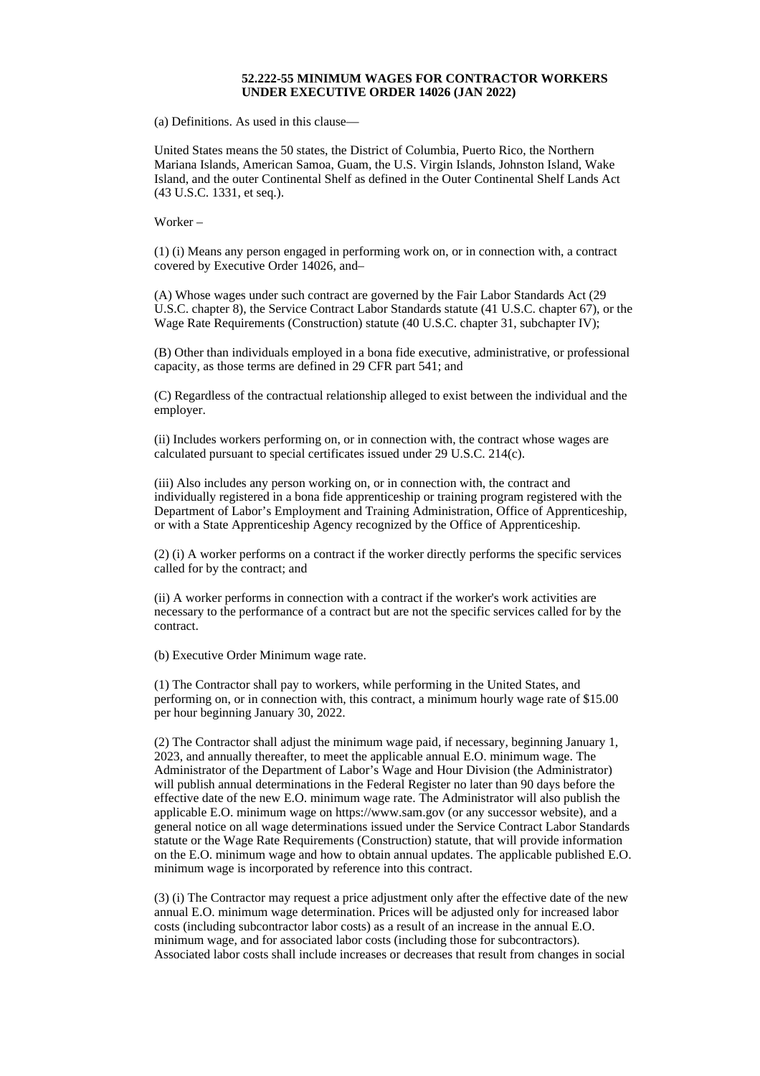## **52.222-55 MINIMUM WAGES FOR CONTRACTOR WORKERS UNDER EXECUTIVE ORDER 14026 (JAN 2022)**

(a) Definitions. As used in this clause—

United States means the 50 states, the District of Columbia, Puerto Rico, the Northern Mariana Islands, American Samoa, Guam, the U.S. Virgin Islands, Johnston Island, Wake Island, and the outer Continental Shelf as defined in the Outer Continental Shelf Lands Act (43 U.S.C. 1331, et seq.).

Worker –

(1) (i) Means any person engaged in performing work on, or in connection with, a contract covered by Executive Order 14026, and–

(A) Whose wages under such contract are governed by the Fair Labor Standards Act (29 U.S.C. chapter 8), the Service Contract Labor Standards statute (41 U.S.C. chapter 67), or the Wage Rate Requirements (Construction) statute (40 U.S.C. chapter 31, subchapter IV);

(B) Other than individuals employed in a bona fide executive, administrative, or professional capacity, as those terms are defined in 29 CFR part 541; and

(C) Regardless of the contractual relationship alleged to exist between the individual and the employer.

(ii) Includes workers performing on, or in connection with, the contract whose wages are calculated pursuant to special certificates issued under 29 U.S.C. 214(c).

(iii) Also includes any person working on, or in connection with, the contract and individually registered in a bona fide apprenticeship or training program registered with the Department of Labor's Employment and Training Administration, Office of Apprenticeship, or with a State Apprenticeship Agency recognized by the Office of Apprenticeship.

(2) (i) A worker performs on a contract if the worker directly performs the specific services called for by the contract; and

(ii) A worker performs in connection with a contract if the worker's work activities are necessary to the performance of a contract but are not the specific services called for by the contract.

(b) Executive Order Minimum wage rate.

(1) The Contractor shall pay to workers, while performing in the United States, and performing on, or in connection with, this contract, a minimum hourly wage rate of \$15.00 per hour beginning January 30, 2022.

(2) The Contractor shall adjust the minimum wage paid, if necessary, beginning January 1, 2023, and annually thereafter, to meet the applicable annual E.O. minimum wage. The Administrator of the Department of Labor's Wage and Hour Division (the Administrator) will publish annual determinations in the Federal Register no later than 90 days before the effective date of the new E.O. minimum wage rate. The Administrator will also publish the applicable E.O. minimum wage on https://www.sam.gov (or any successor website), and a general notice on all wage determinations issued under the Service Contract Labor Standards statute or the Wage Rate Requirements (Construction) statute, that will provide information on the E.O. minimum wage and how to obtain annual updates. The applicable published E.O. minimum wage is incorporated by reference into this contract.

(3) (i) The Contractor may request a price adjustment only after the effective date of the new annual E.O. minimum wage determination. Prices will be adjusted only for increased labor costs (including subcontractor labor costs) as a result of an increase in the annual E.O. minimum wage, and for associated labor costs (including those for subcontractors). Associated labor costs shall include increases or decreases that result from changes in social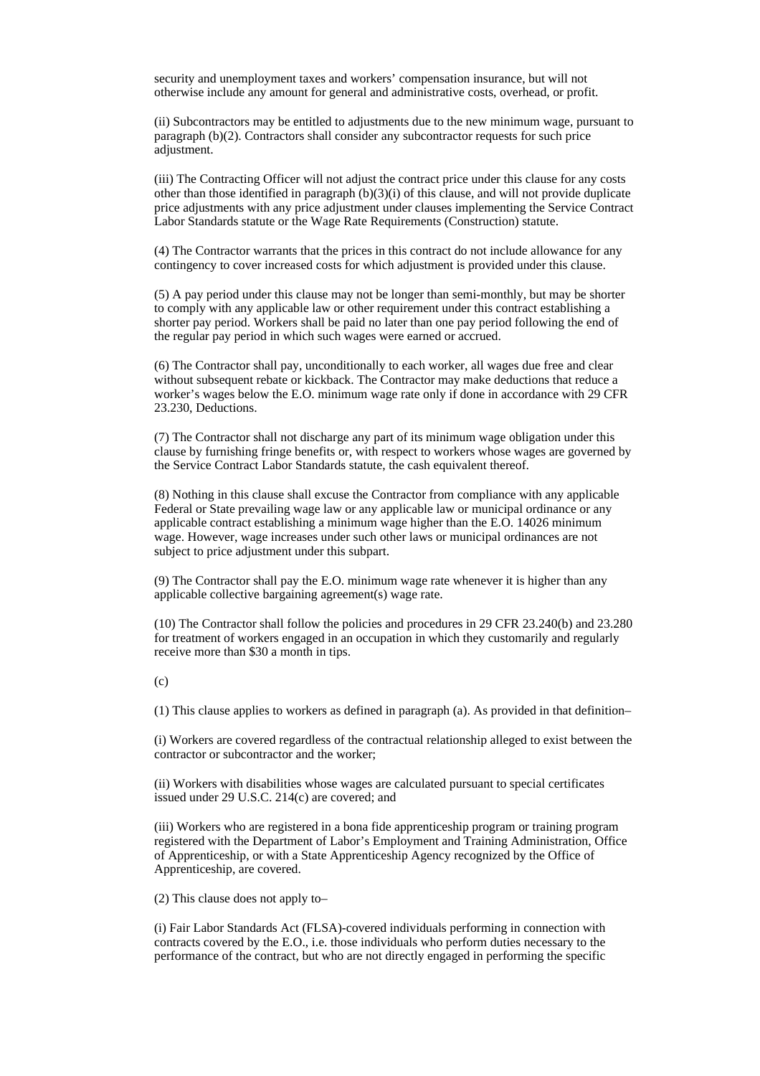security and unemployment taxes and workers' compensation insurance, but will not otherwise include any amount for general and administrative costs, overhead, or profit.

(ii) Subcontractors may be entitled to adjustments due to the new minimum wage, pursuant to paragraph (b)(2). Contractors shall consider any subcontractor requests for such price adjustment.

(iii) The Contracting Officer will not adjust the contract price under this clause for any costs other than those identified in paragraph  $(b)(3)(i)$  of this clause, and will not provide duplicate price adjustments with any price adjustment under clauses implementing the Service Contract Labor Standards statute or the Wage Rate Requirements (Construction) statute.

(4) The Contractor warrants that the prices in this contract do not include allowance for any contingency to cover increased costs for which adjustment is provided under this clause.

(5) A pay period under this clause may not be longer than semi-monthly, but may be shorter to comply with any applicable law or other requirement under this contract establishing a shorter pay period. Workers shall be paid no later than one pay period following the end of the regular pay period in which such wages were earned or accrued.

(6) The Contractor shall pay, unconditionally to each worker, all wages due free and clear without subsequent rebate or kickback. The Contractor may make deductions that reduce a worker's wages below the E.O. minimum wage rate only if done in accordance with 29 CFR 23.230, Deductions.

(7) The Contractor shall not discharge any part of its minimum wage obligation under this clause by furnishing fringe benefits or, with respect to workers whose wages are governed by the Service Contract Labor Standards statute, the cash equivalent thereof.

(8) Nothing in this clause shall excuse the Contractor from compliance with any applicable Federal or State prevailing wage law or any applicable law or municipal ordinance or any applicable contract establishing a minimum wage higher than the E.O. 14026 minimum wage. However, wage increases under such other laws or municipal ordinances are not subject to price adjustment under this subpart.

(9) The Contractor shall pay the E.O. minimum wage rate whenever it is higher than any applicable collective bargaining agreement(s) wage rate.

(10) The Contractor shall follow the policies and procedures in 29 CFR 23.240(b) and 23.280 for treatment of workers engaged in an occupation in which they customarily and regularly receive more than \$30 a month in tips.

 $(c)$ 

(1) This clause applies to workers as defined in paragraph (a). As provided in that definition–

(i) Workers are covered regardless of the contractual relationship alleged to exist between the contractor or subcontractor and the worker;

(ii) Workers with disabilities whose wages are calculated pursuant to special certificates issued under 29 U.S.C. 214(c) are covered; and

(iii) Workers who are registered in a bona fide apprenticeship program or training program registered with the Department of Labor's Employment and Training Administration, Office of Apprenticeship, or with a State Apprenticeship Agency recognized by the Office of Apprenticeship, are covered.

(2) This clause does not apply to–

(i) Fair Labor Standards Act (FLSA)-covered individuals performing in connection with contracts covered by the E.O., i.e. those individuals who perform duties necessary to the performance of the contract, but who are not directly engaged in performing the specific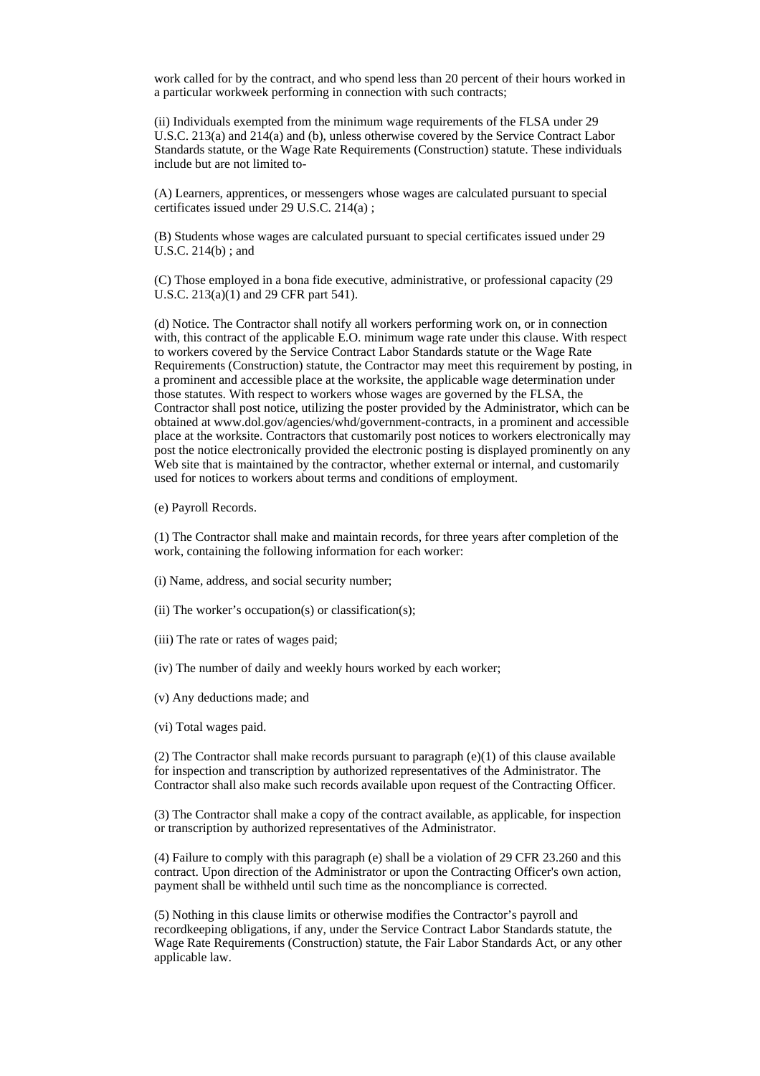work called for by the contract, and who spend less than 20 percent of their hours worked in a particular workweek performing in connection with such contracts;

(ii) Individuals exempted from the minimum wage requirements of the FLSA under 29 U.S.C. 213(a) and 214(a) and (b), unless otherwise covered by the Service Contract Labor Standards statute, or the Wage Rate Requirements (Construction) statute. These individuals include but are not limited to-

(A) Learners, apprentices, or messengers whose wages are calculated pursuant to special certificates issued under 29 U.S.C. 214(a) ;

(B) Students whose wages are calculated pursuant to special certificates issued under 29 U.S.C. 214(b) ; and

(C) Those employed in a bona fide executive, administrative, or professional capacity (29 U.S.C. 213(a)(1) and 29 CFR part 541).

(d) Notice. The Contractor shall notify all workers performing work on, or in connection with, this contract of the applicable E.O. minimum wage rate under this clause. With respect to workers covered by the Service Contract Labor Standards statute or the Wage Rate Requirements (Construction) statute, the Contractor may meet this requirement by posting, in a prominent and accessible place at the worksite, the applicable wage determination under those statutes. With respect to workers whose wages are governed by the FLSA, the Contractor shall post notice, utilizing the poster provided by the Administrator, which can be obtained at www.dol.gov/agencies/whd/government-contracts, in a prominent and accessible place at the worksite. Contractors that customarily post notices to workers electronically may post the notice electronically provided the electronic posting is displayed prominently on any Web site that is maintained by the contractor, whether external or internal, and customarily used for notices to workers about terms and conditions of employment.

(e) Payroll Records.

(1) The Contractor shall make and maintain records, for three years after completion of the work, containing the following information for each worker:

- (i) Name, address, and social security number;
- (ii) The worker's occupation(s) or classification(s);
- (iii) The rate or rates of wages paid;

(iv) The number of daily and weekly hours worked by each worker;

- (v) Any deductions made; and
- (vi) Total wages paid.

(2) The Contractor shall make records pursuant to paragraph  $(e)(1)$  of this clause available for inspection and transcription by authorized representatives of the Administrator. The Contractor shall also make such records available upon request of the Contracting Officer.

(3) The Contractor shall make a copy of the contract available, as applicable, for inspection or transcription by authorized representatives of the Administrator.

(4) Failure to comply with this paragraph (e) shall be a violation of 29 CFR 23.260 and this contract. Upon direction of the Administrator or upon the Contracting Officer's own action, payment shall be withheld until such time as the noncompliance is corrected.

(5) Nothing in this clause limits or otherwise modifies the Contractor's payroll and recordkeeping obligations, if any, under the Service Contract Labor Standards statute, the Wage Rate Requirements (Construction) statute, the Fair Labor Standards Act, or any other applicable law.